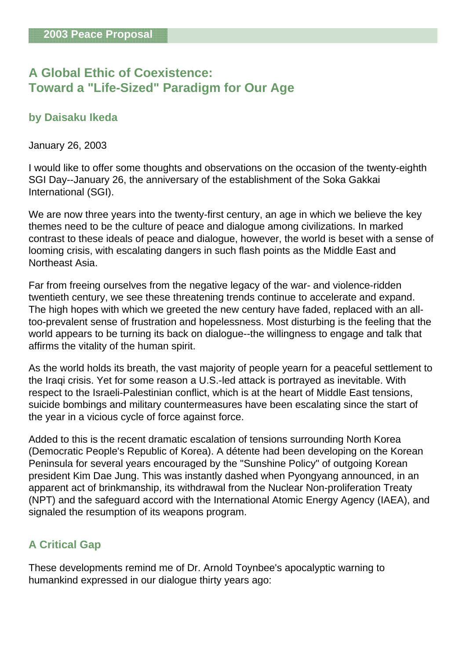# **A Global Ethic of Coexistence: Toward a "Life-Sized" Paradigm for Our Age**

### **by Daisaku Ikeda**

January 26, 2003

I would like to offer some thoughts and observations on the occasion of the twenty-eighth SGI Day--January 26, the anniversary of the establishment of the Soka Gakkai International (SGI).

We are now three years into the twenty-first century, an age in which we believe the key themes need to be the culture of peace and dialogue among civilizations. In marked contrast to these ideals of peace and dialogue, however, the world is beset with a sense of looming crisis, with escalating dangers in such flash points as the Middle East and Northeast Asia.

Far from freeing ourselves from the negative legacy of the war- and violence-ridden twentieth century, we see these threatening trends continue to accelerate and expand. The high hopes with which we greeted the new century have faded, replaced with an alltoo-prevalent sense of frustration and hopelessness. Most disturbing is the feeling that the world appears to be turning its back on dialogue--the willingness to engage and talk that affirms the vitality of the human spirit.

As the world holds its breath, the vast majority of people yearn for a peaceful settlement to the Iraqi crisis. Yet for some reason a U.S.-led attack is portrayed as inevitable. With respect to the Israeli-Palestinian conflict, which is at the heart of Middle East tensions, suicide bombings and military countermeasures have been escalating since the start of the year in a vicious cycle of force against force.

Added to this is the recent dramatic escalation of tensions surrounding North Korea (Democratic People's Republic of Korea). A détente had been developing on the Korean Peninsula for several years encouraged by the "Sunshine Policy" of outgoing Korean president Kim Dae Jung. This was instantly dashed when Pyongyang announced, in an apparent act of brinkmanship, its withdrawal from the Nuclear Non-proliferation Treaty (NPT) and the safeguard accord with the International Atomic Energy Agency (IAEA), and signaled the resumption of its weapons program.

# **A Critical Gap**

These developments remind me of Dr. Arnold Toynbee's apocalyptic warning to humankind expressed in our dialogue thirty years ago: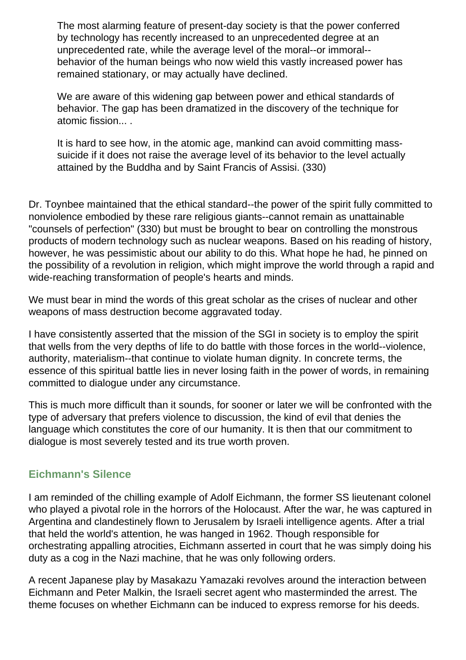The most alarming feature of present-day society is that the power conferred by technology has recently increased to an unprecedented degree at an unprecedented rate, while the average level of the moral--or immoral- behavior of the human beings who now wield this vastly increased power has remained stationary, or may actually have declined.

We are aware of this widening gap between power and ethical standards of behavior. The gap has been dramatized in the discovery of the technique for atomic fission... .

It is hard to see how, in the atomic age, mankind can avoid committing masssuicide if it does not raise the average level of its behavior to the level actually attained by the Buddha and by Saint Francis of Assisi. (330)

Dr. Toynbee maintained that the ethical standard--the power of the spirit fully committed to nonviolence embodied by these rare religious giants--cannot remain as unattainable "counsels of perfection" (330) but must be brought to bear on controlling the monstrous products of modern technology such as nuclear weapons. Based on his reading of history, however, he was pessimistic about our ability to do this. What hope he had, he pinned on the possibility of a revolution in religion, which might improve the world through a rapid and wide-reaching transformation of people's hearts and minds.

We must bear in mind the words of this great scholar as the crises of nuclear and other weapons of mass destruction become aggravated today.

I have consistently asserted that the mission of the SGI in society is to employ the spirit that wells from the very depths of life to do battle with those forces in the world--violence, authority, materialism--that continue to violate human dignity. In concrete terms, the essence of this spiritual battle lies in never losing faith in the power of words, in remaining committed to dialogue under any circumstance.

This is much more difficult than it sounds, for sooner or later we will be confronted with the type of adversary that prefers violence to discussion, the kind of evil that denies the language which constitutes the core of our humanity. It is then that our commitment to dialogue is most severely tested and its true worth proven.

#### **Eichmann's Silence**

I am reminded of the chilling example of Adolf Eichmann, the former SS lieutenant colonel who played a pivotal role in the horrors of the Holocaust. After the war, he was captured in Argentina and clandestinely flown to Jerusalem by Israeli intelligence agents. After a trial that held the world's attention, he was hanged in 1962. Though responsible for orchestrating appalling atrocities, Eichmann asserted in court that he was simply doing his duty as a cog in the Nazi machine, that he was only following orders.

A recent Japanese play by Masakazu Yamazaki revolves around the interaction between Eichmann and Peter Malkin, the Israeli secret agent who masterminded the arrest. The theme focuses on whether Eichmann can be induced to express remorse for his deeds.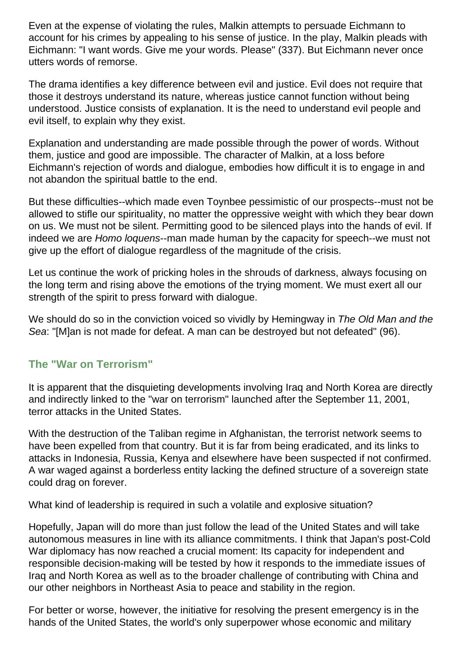Even at the expense of violating the rules, Malkin attempts to persuade Eichmann to account for his crimes by appealing to his sense of justice. In the play, Malkin pleads with Eichmann: "I want words. Give me your words. Please" (337). But Eichmann never once utters words of remorse.

The drama identifies a key difference between evil and justice. Evil does not require that those it destroys understand its nature, whereas justice cannot function without being understood. Justice consists of explanation. It is the need to understand evil people and evil itself, to explain why they exist.

Explanation and understanding are made possible through the power of words. Without them, justice and good are impossible. The character of Malkin, at a loss before Eichmann's rejection of words and dialogue, embodies how difficult it is to engage in and not abandon the spiritual battle to the end.

But these difficulties--which made even Toynbee pessimistic of our prospects--must not be allowed to stifle our spirituality, no matter the oppressive weight with which they bear down on us. We must not be silent. Permitting good to be silenced plays into the hands of evil. If indeed we are *Homo loquens*--man made human by the capacity for speech--we must not give up the effort of dialogue regardless of the magnitude of the crisis.

Let us continue the work of pricking holes in the shrouds of darkness, always focusing on the long term and rising above the emotions of the trying moment. We must exert all our strength of the spirit to press forward with dialogue.

We should do so in the conviction voiced so vividly by Hemingway in *The Old Man and the Sea*: "[M]an is not made for defeat. A man can be destroyed but not defeated" (96).

#### **The "War on Terrorism"**

It is apparent that the disquieting developments involving Iraq and North Korea are directly and indirectly linked to the "war on terrorism" launched after the September 11, 2001, terror attacks in the United States.

With the destruction of the Taliban regime in Afghanistan, the terrorist network seems to have been expelled from that country. But it is far from being eradicated, and its links to attacks in Indonesia, Russia, Kenya and elsewhere have been suspected if not confirmed. A war waged against a borderless entity lacking the defined structure of a sovereign state could drag on forever.

What kind of leadership is required in such a volatile and explosive situation?

Hopefully, Japan will do more than just follow the lead of the United States and will take autonomous measures in line with its alliance commitments. I think that Japan's post-Cold War diplomacy has now reached a crucial moment: Its capacity for independent and responsible decision-making will be tested by how it responds to the immediate issues of Iraq and North Korea as well as to the broader challenge of contributing with China and our other neighbors in Northeast Asia to peace and stability in the region.

For better or worse, however, the initiative for resolving the present emergency is in the hands of the United States, the world's only superpower whose economic and military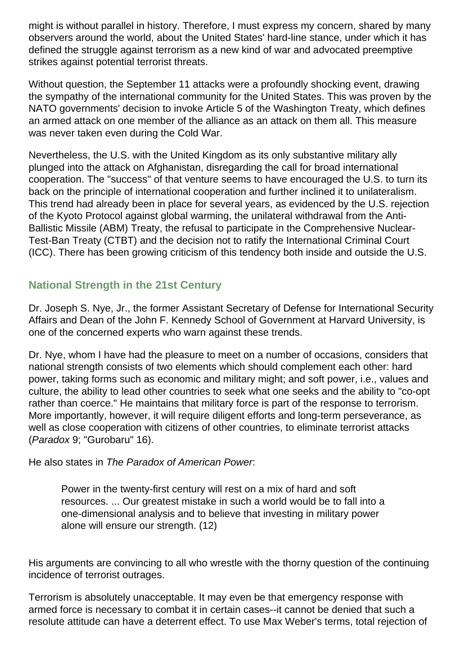might is without parallel in history. Therefore, I must express my concern, shared by many observers around the world, about the United States' hard-line stance, under which it has defined the struggle against terrorism as a new kind of war and advocated preemptive strikes against potential terrorist threats.

Without question, the September 11 attacks were a profoundly shocking event, drawing the sympathy of the international community for the United States. This was proven by the NATO governments' decision to invoke Article 5 of the Washington Treaty, which defines an armed attack on one member of the alliance as an attack on them all. This measure was never taken even during the Cold War.

Nevertheless, the U.S. with the United Kingdom as its only substantive military ally plunged into the attack on Afghanistan, disregarding the call for broad international cooperation. The "success" of that venture seems to have encouraged the U.S. to turn its back on the principle of international cooperation and further inclined it to unilateralism. This trend had already been in place for several years, as evidenced by the U.S. rejection of the Kyoto Protocol against global warming, the unilateral withdrawal from the Anti-Ballistic Missile (ABM) Treaty, the refusal to participate in the Comprehensive Nuclear-Test-Ban Treaty (CTBT) and the decision not to ratify the International Criminal Court (ICC). There has been growing criticism of this tendency both inside and outside the U.S.

## **National Strength in the 21st Century**

Dr. Joseph S. Nye, Jr., the former Assistant Secretary of Defense for International Security Affairs and Dean of the John F. Kennedy School of Government at Harvard University, is one of the concerned experts who warn against these trends.

Dr. Nye, whom I have had the pleasure to meet on a number of occasions, considers that national strength consists of two elements which should complement each other: hard power, taking forms such as economic and military might; and soft power, i.e., values and culture, the ability to lead other countries to seek what one seeks and the ability to "co-opt rather than coerce." He maintains that military force is part of the response to terrorism. More importantly, however, it will require diligent efforts and long-term perseverance, as well as close cooperation with citizens of other countries, to eliminate terrorist attacks (*Paradox* 9; "Gurobaru" 16).

He also states in *The Paradox of American Power*:

Power in the twenty-first century will rest on a mix of hard and soft resources. ... Our greatest mistake in such a world would be to fall into a one-dimensional analysis and to believe that investing in military power alone will ensure our strength. (12)

His arguments are convincing to all who wrestle with the thorny question of the continuing incidence of terrorist outrages.

Terrorism is absolutely unacceptable. It may even be that emergency response with armed force is necessary to combat it in certain cases--it cannot be denied that such a resolute attitude can have a deterrent effect. To use Max Weber's terms, total rejection of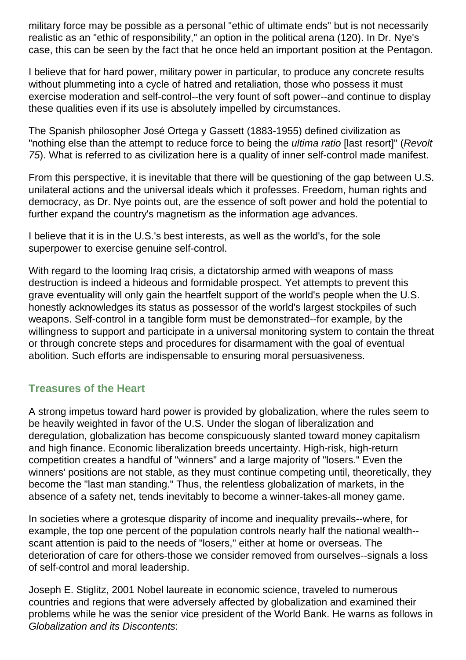military force may be possible as a personal "ethic of ultimate ends" but is not necessarily realistic as an "ethic of responsibility," an option in the political arena (120). In Dr. Nye's case, this can be seen by the fact that he once held an important position at the Pentagon.

I believe that for hard power, military power in particular, to produce any concrete results without plummeting into a cycle of hatred and retaliation, those who possess it must exercise moderation and self-control--the very fount of soft power--and continue to display these qualities even if its use is absolutely impelled by circumstances.

The Spanish philosopher José Ortega y Gassett (1883-1955) defined civilization as "nothing else than the attempt to reduce force to being the *ultima ratio* [last resort]" (*Revolt 75*). What is referred to as civilization here is a quality of inner self-control made manifest.

From this perspective, it is inevitable that there will be questioning of the gap between U.S. unilateral actions and the universal ideals which it professes. Freedom, human rights and democracy, as Dr. Nye points out, are the essence of soft power and hold the potential to further expand the country's magnetism as the information age advances.

I believe that it is in the U.S.'s best interests, as well as the world's, for the sole superpower to exercise genuine self-control.

With regard to the looming Iraq crisis, a dictatorship armed with weapons of mass destruction is indeed a hideous and formidable prospect. Yet attempts to prevent this grave eventuality will only gain the heartfelt support of the world's people when the U.S. honestly acknowledges its status as possessor of the world's largest stockpiles of such weapons. Self-control in a tangible form must be demonstrated--for example, by the willingness to support and participate in a universal monitoring system to contain the threat or through concrete steps and procedures for disarmament with the goal of eventual abolition. Such efforts are indispensable to ensuring moral persuasiveness.

#### **Treasures of the Heart**

A strong impetus toward hard power is provided by globalization, where the rules seem to be heavily weighted in favor of the U.S. Under the slogan of liberalization and deregulation, globalization has become conspicuously slanted toward money capitalism and high finance. Economic liberalization breeds uncertainty. High-risk, high-return competition creates a handful of "winners" and a large majority of "losers." Even the winners' positions are not stable, as they must continue competing until, theoretically, they become the "last man standing." Thus, the relentless globalization of markets, in the absence of a safety net, tends inevitably to become a winner-takes-all money game.

In societies where a grotesque disparity of income and inequality prevails--where, for example, the top one percent of the population controls nearly half the national wealth- scant attention is paid to the needs of "losers," either at home or overseas. The deterioration of care for others-those we consider removed from ourselves--signals a loss of self-control and moral leadership.

Joseph E. Stiglitz, 2001 Nobel laureate in economic science, traveled to numerous countries and regions that were adversely affected by globalization and examined their problems while he was the senior vice president of the World Bank. He warns as follows in *Globalization and its Discontents*: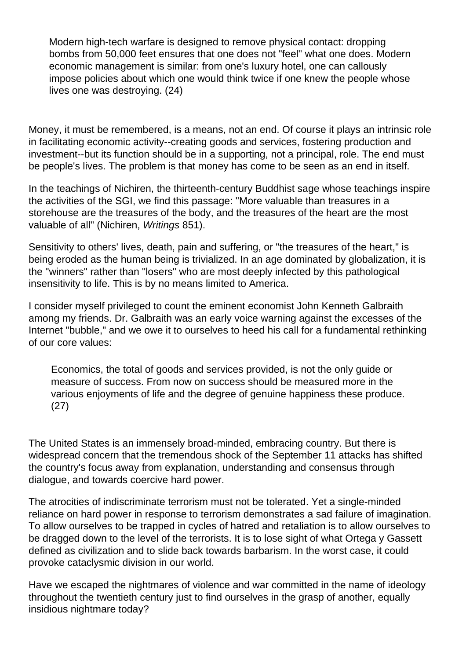Modern high-tech warfare is designed to remove physical contact: dropping bombs from 50,000 feet ensures that one does not "feel" what one does. Modern economic management is similar: from one's luxury hotel, one can callously impose policies about which one would think twice if one knew the people whose lives one was destroying. (24)

Money, it must be remembered, is a means, not an end. Of course it plays an intrinsic role in facilitating economic activity--creating goods and services, fostering production and investment--but its function should be in a supporting, not a principal, role. The end must be people's lives. The problem is that money has come to be seen as an end in itself.

In the teachings of Nichiren, the thirteenth-century Buddhist sage whose teachings inspire the activities of the SGI, we find this passage: "More valuable than treasures in a storehouse are the treasures of the body, and the treasures of the heart are the most valuable of all" (Nichiren, *Writings* 851).

Sensitivity to others' lives, death, pain and suffering, or "the treasures of the heart," is being eroded as the human being is trivialized. In an age dominated by globalization, it is the "winners" rather than "losers" who are most deeply infected by this pathological insensitivity to life. This is by no means limited to America.

I consider myself privileged to count the eminent economist John Kenneth Galbraith among my friends. Dr. Galbraith was an early voice warning against the excesses of the Internet "bubble," and we owe it to ourselves to heed his call for a fundamental rethinking of our core values:

Economics, the total of goods and services provided, is not the only guide or measure of success. From now on success should be measured more in the various enjoyments of life and the degree of genuine happiness these produce. (27)

The United States is an immensely broad-minded, embracing country. But there is widespread concern that the tremendous shock of the September 11 attacks has shifted the country's focus away from explanation, understanding and consensus through dialogue, and towards coercive hard power.

The atrocities of indiscriminate terrorism must not be tolerated. Yet a single-minded reliance on hard power in response to terrorism demonstrates a sad failure of imagination. To allow ourselves to be trapped in cycles of hatred and retaliation is to allow ourselves to be dragged down to the level of the terrorists. It is to lose sight of what Ortega y Gassett defined as civilization and to slide back towards barbarism. In the worst case, it could provoke cataclysmic division in our world.

Have we escaped the nightmares of violence and war committed in the name of ideology throughout the twentieth century just to find ourselves in the grasp of another, equally insidious nightmare today?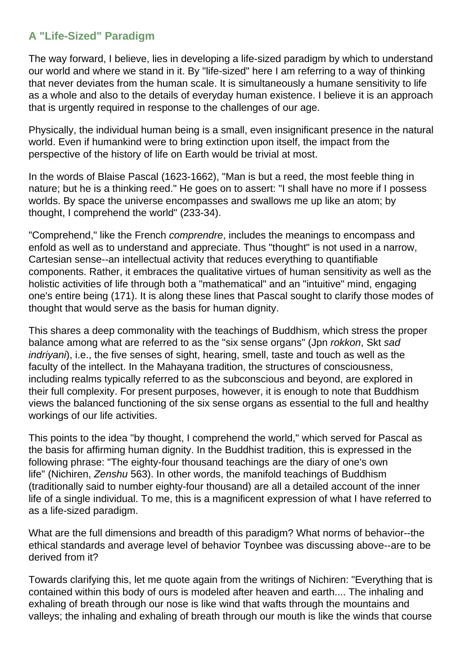### **A "Life-Sized" Paradigm**

The way forward, I believe, lies in developing a life-sized paradigm by which to understand our world and where we stand in it. By "life-sized" here I am referring to a way of thinking that never deviates from the human scale. It is simultaneously a humane sensitivity to life as a whole and also to the details of everyday human existence. I believe it is an approach that is urgently required in response to the challenges of our age.

Physically, the individual human being is a small, even insignificant presence in the natural world. Even if humankind were to bring extinction upon itself, the impact from the perspective of the history of life on Earth would be trivial at most.

In the words of Blaise Pascal (1623-1662), "Man is but a reed, the most feeble thing in nature; but he is a thinking reed." He goes on to assert: "I shall have no more if I possess worlds. By space the universe encompasses and swallows me up like an atom; by thought, I comprehend the world" (233-34).

"Comprehend," like the French *comprendre*, includes the meanings to encompass and enfold as well as to understand and appreciate. Thus "thought" is not used in a narrow, Cartesian sense--an intellectual activity that reduces everything to quantifiable components. Rather, it embraces the qualitative virtues of human sensitivity as well as the holistic activities of life through both a "mathematical" and an "intuitive" mind, engaging one's entire being (171). It is along these lines that Pascal sought to clarify those modes of thought that would serve as the basis for human dignity.

This shares a deep commonality with the teachings of Buddhism, which stress the proper balance among what are referred to as the "six sense organs" (Jpn *rokkon*, Skt *sad indriyani*), i.e., the five senses of sight, hearing, smell, taste and touch as well as the faculty of the intellect. In the Mahayana tradition, the structures of consciousness, including realms typically referred to as the subconscious and beyond, are explored in their full complexity. For present purposes, however, it is enough to note that Buddhism views the balanced functioning of the six sense organs as essential to the full and healthy workings of our life activities.

This points to the idea "by thought, I comprehend the world," which served for Pascal as the basis for affirming human dignity. In the Buddhist tradition, this is expressed in the following phrase: "The eighty-four thousand teachings are the diary of one's own life" (Nichiren, *Zenshu* 563). In other words, the manifold teachings of Buddhism (traditionally said to number eighty-four thousand) are all a detailed account of the inner life of a single individual. To me, this is a magnificent expression of what I have referred to as a life-sized paradigm.

What are the full dimensions and breadth of this paradigm? What norms of behavior--the ethical standards and average level of behavior Toynbee was discussing above--are to be derived from it?

Towards clarifying this, let me quote again from the writings of Nichiren: "Everything that is contained within this body of ours is modeled after heaven and earth.... The inhaling and exhaling of breath through our nose is like wind that wafts through the mountains and valleys; the inhaling and exhaling of breath through our mouth is like the winds that course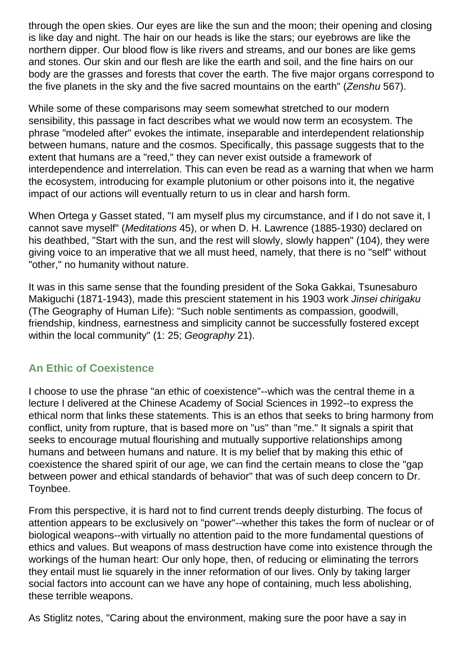through the open skies. Our eyes are like the sun and the moon; their opening and closing is like day and night. The hair on our heads is like the stars; our eyebrows are like the northern dipper. Our blood flow is like rivers and streams, and our bones are like gems and stones. Our skin and our flesh are like the earth and soil, and the fine hairs on our body are the grasses and forests that cover the earth. The five major organs correspond to the five planets in the sky and the five sacred mountains on the earth" (*Zenshu* 567).

While some of these comparisons may seem somewhat stretched to our modern sensibility, this passage in fact describes what we would now term an ecosystem. The phrase "modeled after" evokes the intimate, inseparable and interdependent relationship between humans, nature and the cosmos. Specifically, this passage suggests that to the extent that humans are a "reed," they can never exist outside a framework of interdependence and interrelation. This can even be read as a warning that when we harm the ecosystem, introducing for example plutonium or other poisons into it, the negative impact of our actions will eventually return to us in clear and harsh form.

When Ortega y Gasset stated, "I am myself plus my circumstance, and if I do not save it, I cannot save myself" (*Meditations* 45), or when D. H. Lawrence (1885-1930) declared on his deathbed, "Start with the sun, and the rest will slowly, slowly happen" (104), they were giving voice to an imperative that we all must heed, namely, that there is no "self" without "other," no humanity without nature.

It was in this same sense that the founding president of the Soka Gakkai, Tsunesaburo Makiguchi (1871-1943), made this prescient statement in his 1903 work *Jinsei chirigaku* (The Geography of Human Life): "Such noble sentiments as compassion, goodwill, friendship, kindness, earnestness and simplicity cannot be successfully fostered except within the local community" (1: 25; *Geography* 21).

### **An Ethic of Coexistence**

I choose to use the phrase "an ethic of coexistence"--which was the central theme in a lecture I delivered at the Chinese Academy of Social Sciences in 1992--to express the ethical norm that links these statements. This is an ethos that seeks to bring harmony from conflict, unity from rupture, that is based more on "us" than "me." It signals a spirit that seeks to encourage mutual flourishing and mutually supportive relationships among humans and between humans and nature. It is my belief that by making this ethic of coexistence the shared spirit of our age, we can find the certain means to close the "gap between power and ethical standards of behavior" that was of such deep concern to Dr. Toynbee.

From this perspective, it is hard not to find current trends deeply disturbing. The focus of attention appears to be exclusively on "power"--whether this takes the form of nuclear or of biological weapons--with virtually no attention paid to the more fundamental questions of ethics and values. But weapons of mass destruction have come into existence through the workings of the human heart: Our only hope, then, of reducing or eliminating the terrors they entail must lie squarely in the inner reformation of our lives. Only by taking larger social factors into account can we have any hope of containing, much less abolishing, these terrible weapons.

As Stiglitz notes, "Caring about the environment, making sure the poor have a say in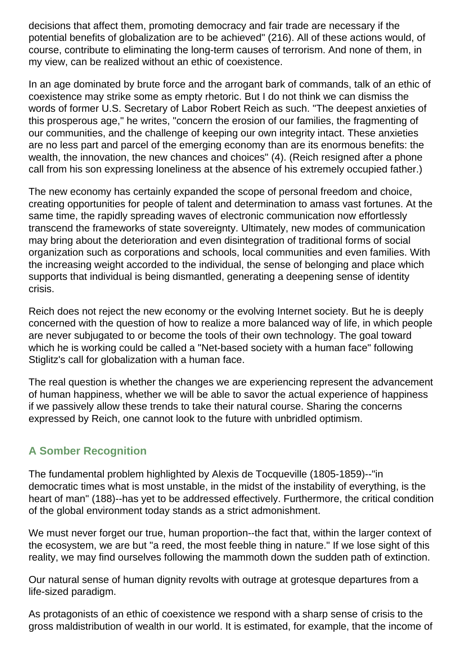decisions that affect them, promoting democracy and fair trade are necessary if the potential benefits of globalization are to be achieved" (216). All of these actions would, of course, contribute to eliminating the long-term causes of terrorism. And none of them, in my view, can be realized without an ethic of coexistence.

In an age dominated by brute force and the arrogant bark of commands, talk of an ethic of coexistence may strike some as empty rhetoric. But I do not think we can dismiss the words of former U.S. Secretary of Labor Robert Reich as such. "The deepest anxieties of this prosperous age," he writes, "concern the erosion of our families, the fragmenting of our communities, and the challenge of keeping our own integrity intact. These anxieties are no less part and parcel of the emerging economy than are its enormous benefits: the wealth, the innovation, the new chances and choices" (4). (Reich resigned after a phone call from his son expressing loneliness at the absence of his extremely occupied father.)

The new economy has certainly expanded the scope of personal freedom and choice, creating opportunities for people of talent and determination to amass vast fortunes. At the same time, the rapidly spreading waves of electronic communication now effortlessly transcend the frameworks of state sovereignty. Ultimately, new modes of communication may bring about the deterioration and even disintegration of traditional forms of social organization such as corporations and schools, local communities and even families. With the increasing weight accorded to the individual, the sense of belonging and place which supports that individual is being dismantled, generating a deepening sense of identity crisis.

Reich does not reject the new economy or the evolving Internet society. But he is deeply concerned with the question of how to realize a more balanced way of life, in which people are never subjugated to or become the tools of their own technology. The goal toward which he is working could be called a "Net-based society with a human face" following Stiglitz's call for globalization with a human face.

The real question is whether the changes we are experiencing represent the advancement of human happiness, whether we will be able to savor the actual experience of happiness if we passively allow these trends to take their natural course. Sharing the concerns expressed by Reich, one cannot look to the future with unbridled optimism.

### **A Somber Recognition**

The fundamental problem highlighted by Alexis de Tocqueville (1805-1859)--"in democratic times what is most unstable, in the midst of the instability of everything, is the heart of man" (188)--has yet to be addressed effectively. Furthermore, the critical condition of the global environment today stands as a strict admonishment.

We must never forget our true, human proportion--the fact that, within the larger context of the ecosystem, we are but "a reed, the most feeble thing in nature." If we lose sight of this reality, we may find ourselves following the mammoth down the sudden path of extinction.

Our natural sense of human dignity revolts with outrage at grotesque departures from a life-sized paradigm.

As protagonists of an ethic of coexistence we respond with a sharp sense of crisis to the gross maldistribution of wealth in our world. It is estimated, for example, that the income of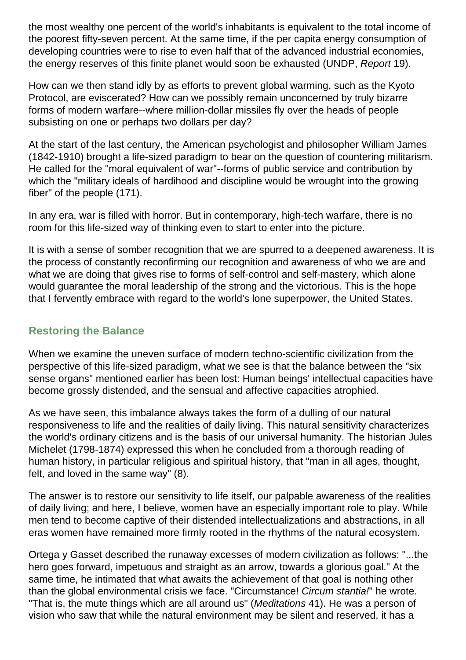the most wealthy one percent of the world's inhabitants is equivalent to the total income of the poorest fifty-seven percent. At the same time, if the per capita energy consumption of developing countries were to rise to even half that of the advanced industrial economies, the energy reserves of this finite planet would soon be exhausted (UNDP, *Report* 19).

How can we then stand idly by as efforts to prevent global warming, such as the Kyoto Protocol, are eviscerated? How can we possibly remain unconcerned by truly bizarre forms of modern warfare--where million-dollar missiles fly over the heads of people subsisting on one or perhaps two dollars per day?

At the start of the last century, the American psychologist and philosopher William James (1842-1910) brought a life-sized paradigm to bear on the question of countering militarism. He called for the "moral equivalent of war"--forms of public service and contribution by which the "military ideals of hardihood and discipline would be wrought into the growing fiber" of the people (171).

In any era, war is filled with horror. But in contemporary, high-tech warfare, there is no room for this life-sized way of thinking even to start to enter into the picture.

It is with a sense of somber recognition that we are spurred to a deepened awareness. It is the process of constantly reconfirming our recognition and awareness of who we are and what we are doing that gives rise to forms of self-control and self-mastery, which alone would guarantee the moral leadership of the strong and the victorious. This is the hope that I fervently embrace with regard to the world's lone superpower, the United States.

### **Restoring the Balance**

When we examine the uneven surface of modern techno-scientific civilization from the perspective of this life-sized paradigm, what we see is that the balance between the "six sense organs" mentioned earlier has been lost: Human beings' intellectual capacities have become grossly distended, and the sensual and affective capacities atrophied.

As we have seen, this imbalance always takes the form of a dulling of our natural responsiveness to life and the realities of daily living. This natural sensitivity characterizes the world's ordinary citizens and is the basis of our universal humanity. The historian Jules Michelet (1798-1874) expressed this when he concluded from a thorough reading of human history, in particular religious and spiritual history, that "man in all ages, thought, felt, and loved in the same way" (8).

The answer is to restore our sensitivity to life itself, our palpable awareness of the realities of daily living; and here, I believe, women have an especially important role to play. While men tend to become captive of their distended intellectualizations and abstractions, in all eras women have remained more firmly rooted in the rhythms of the natural ecosystem.

Ortega y Gasset described the runaway excesses of modern civilization as follows: "...the hero goes forward, impetuous and straight as an arrow, towards a glorious goal." At the same time, he intimated that what awaits the achievement of that goal is nothing other than the global environmental crisis we face. "Circumstance! *Circum stantia!*" he wrote. "That is, the mute things which are all around us" (*Meditations* 41). He was a person of vision who saw that while the natural environment may be silent and reserved, it has a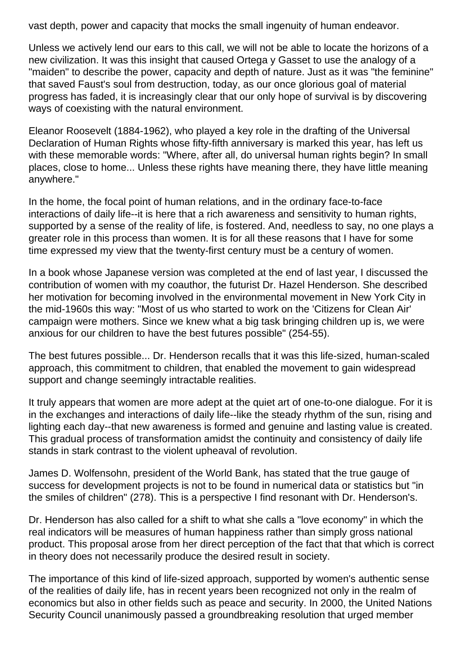vast depth, power and capacity that mocks the small ingenuity of human endeavor.

Unless we actively lend our ears to this call, we will not be able to locate the horizons of a new civilization. It was this insight that caused Ortega y Gasset to use the analogy of a "maiden" to describe the power, capacity and depth of nature. Just as it was "the feminine" that saved Faust's soul from destruction, today, as our once glorious goal of material progress has faded, it is increasingly clear that our only hope of survival is by discovering ways of coexisting with the natural environment.

Eleanor Roosevelt (1884-1962), who played a key role in the drafting of the Universal Declaration of Human Rights whose fifty-fifth anniversary is marked this year, has left us with these memorable words: "Where, after all, do universal human rights begin? In small places, close to home... Unless these rights have meaning there, they have little meaning anywhere."

In the home, the focal point of human relations, and in the ordinary face-to-face interactions of daily life--it is here that a rich awareness and sensitivity to human rights, supported by a sense of the reality of life, is fostered. And, needless to say, no one plays a greater role in this process than women. It is for all these reasons that I have for some time expressed my view that the twenty-first century must be a century of women.

In a book whose Japanese version was completed at the end of last year, I discussed the contribution of women with my coauthor, the futurist Dr. Hazel Henderson. She described her motivation for becoming involved in the environmental movement in New York City in the mid-1960s this way: "Most of us who started to work on the 'Citizens for Clean Air' campaign were mothers. Since we knew what a big task bringing children up is, we were anxious for our children to have the best futures possible" (254-55).

The best futures possible... Dr. Henderson recalls that it was this life-sized, human-scaled approach, this commitment to children, that enabled the movement to gain widespread support and change seemingly intractable realities.

It truly appears that women are more adept at the quiet art of one-to-one dialogue. For it is in the exchanges and interactions of daily life--like the steady rhythm of the sun, rising and lighting each day--that new awareness is formed and genuine and lasting value is created. This gradual process of transformation amidst the continuity and consistency of daily life stands in stark contrast to the violent upheaval of revolution.

James D. Wolfensohn, president of the World Bank, has stated that the true gauge of success for development projects is not to be found in numerical data or statistics but "in the smiles of children" (278). This is a perspective I find resonant with Dr. Henderson's.

Dr. Henderson has also called for a shift to what she calls a "love economy" in which the real indicators will be measures of human happiness rather than simply gross national product. This proposal arose from her direct perception of the fact that that which is correct in theory does not necessarily produce the desired result in society.

The importance of this kind of life-sized approach, supported by women's authentic sense of the realities of daily life, has in recent years been recognized not only in the realm of economics but also in other fields such as peace and security. In 2000, the United Nations Security Council unanimously passed a groundbreaking resolution that urged member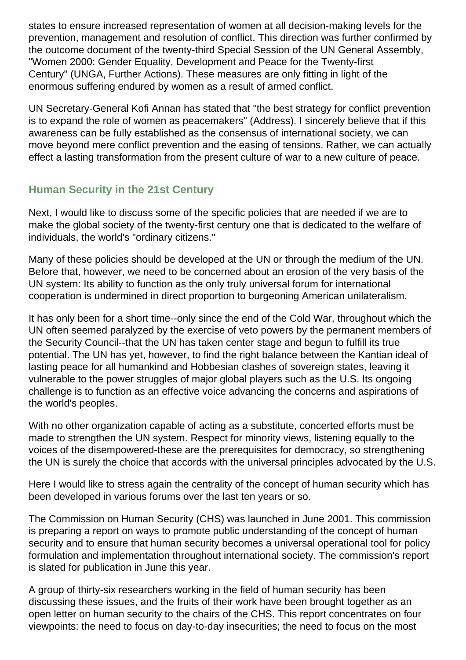states to ensure increased representation of women at all decision-making levels for the prevention, management and resolution of conflict. This direction was further confirmed by the outcome document of the twenty-third Special Session of the UN General Assembly, "Women 2000: Gender Equality, Development and Peace for the Twenty-first Century" (UNGA, Further Actions). These measures are only fitting in light of the enormous suffering endured by women as a result of armed conflict.

UN Secretary-General Kofi Annan has stated that "the best strategy for conflict prevention is to expand the role of women as peacemakers" (Address). I sincerely believe that if this awareness can be fully established as the consensus of international society, we can move beyond mere conflict prevention and the easing of tensions. Rather, we can actually effect a lasting transformation from the present culture of war to a new culture of peace.

## **Human Security in the 21st Century**

Next, I would like to discuss some of the specific policies that are needed if we are to make the global society of the twenty-first century one that is dedicated to the welfare of individuals, the world's "ordinary citizens."

Many of these policies should be developed at the UN or through the medium of the UN. Before that, however, we need to be concerned about an erosion of the very basis of the UN system: Its ability to function as the only truly universal forum for international cooperation is undermined in direct proportion to burgeoning American unilateralism.

It has only been for a short time--only since the end of the Cold War, throughout which the UN often seemed paralyzed by the exercise of veto powers by the permanent members of the Security Council--that the UN has taken center stage and begun to fulfill its true potential. The UN has yet, however, to find the right balance between the Kantian ideal of lasting peace for all humankind and Hobbesian clashes of sovereign states, leaving it vulnerable to the power struggles of major global players such as the U.S. Its ongoing challenge is to function as an effective voice advancing the concerns and aspirations of the world's peoples.

With no other organization capable of acting as a substitute, concerted efforts must be made to strengthen the UN system. Respect for minority views, listening equally to the voices of the disempowered-these are the prerequisites for democracy, so strengthening the UN is surely the choice that accords with the universal principles advocated by the U.S.

Here I would like to stress again the centrality of the concept of human security which has been developed in various forums over the last ten years or so.

The Commission on Human Security (CHS) was launched in June 2001. This commission is preparing a report on ways to promote public understanding of the concept of human security and to ensure that human security becomes a universal operational tool for policy formulation and implementation throughout international society. The commission's report is slated for publication in June this year.

A group of thirty-six researchers working in the field of human security has been discussing these issues, and the fruits of their work have been brought together as an open letter on human security to the chairs of the CHS. This report concentrates on four viewpoints: the need to focus on day-to-day insecurities; the need to focus on the most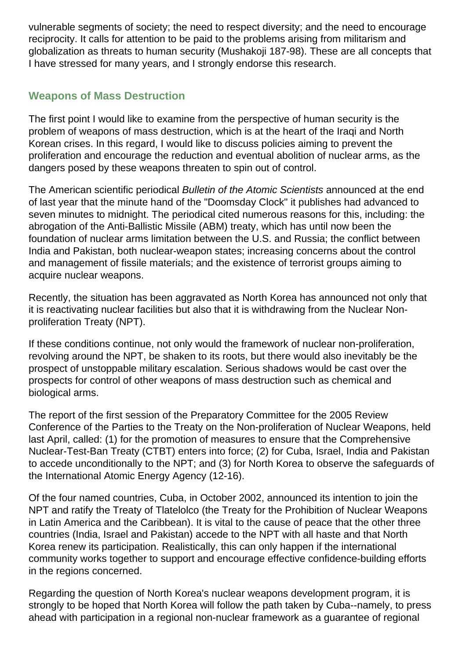vulnerable segments of society; the need to respect diversity; and the need to encourage reciprocity. It calls for attention to be paid to the problems arising from militarism and globalization as threats to human security (Mushakoji 187-98). These are all concepts that I have stressed for many years, and I strongly endorse this research.

### **Weapons of Mass Destruction**

The first point I would like to examine from the perspective of human security is the problem of weapons of mass destruction, which is at the heart of the Iraqi and North Korean crises. In this regard, I would like to discuss policies aiming to prevent the proliferation and encourage the reduction and eventual abolition of nuclear arms, as the dangers posed by these weapons threaten to spin out of control.

The American scientific periodical *Bulletin of the Atomic Scientists* announced at the end of last year that the minute hand of the "Doomsday Clock" it publishes had advanced to seven minutes to midnight. The periodical cited numerous reasons for this, including: the abrogation of the Anti-Ballistic Missile (ABM) treaty, which has until now been the foundation of nuclear arms limitation between the U.S. and Russia; the conflict between India and Pakistan, both nuclear-weapon states; increasing concerns about the control and management of fissile materials; and the existence of terrorist groups aiming to acquire nuclear weapons.

Recently, the situation has been aggravated as North Korea has announced not only that it is reactivating nuclear facilities but also that it is withdrawing from the Nuclear Nonproliferation Treaty (NPT).

If these conditions continue, not only would the framework of nuclear non-proliferation, revolving around the NPT, be shaken to its roots, but there would also inevitably be the prospect of unstoppable military escalation. Serious shadows would be cast over the prospects for control of other weapons of mass destruction such as chemical and biological arms.

The report of the first session of the Preparatory Committee for the 2005 Review Conference of the Parties to the Treaty on the Non-proliferation of Nuclear Weapons, held last April, called: (1) for the promotion of measures to ensure that the Comprehensive Nuclear-Test-Ban Treaty (CTBT) enters into force; (2) for Cuba, Israel, India and Pakistan to accede unconditionally to the NPT; and (3) for North Korea to observe the safeguards of the International Atomic Energy Agency (12-16).

Of the four named countries, Cuba, in October 2002, announced its intention to join the NPT and ratify the Treaty of Tlatelolco (the Treaty for the Prohibition of Nuclear Weapons in Latin America and the Caribbean). It is vital to the cause of peace that the other three countries (India, Israel and Pakistan) accede to the NPT with all haste and that North Korea renew its participation. Realistically, this can only happen if the international community works together to support and encourage effective confidence-building efforts in the regions concerned.

Regarding the question of North Korea's nuclear weapons development program, it is strongly to be hoped that North Korea will follow the path taken by Cuba--namely, to press ahead with participation in a regional non-nuclear framework as a guarantee of regional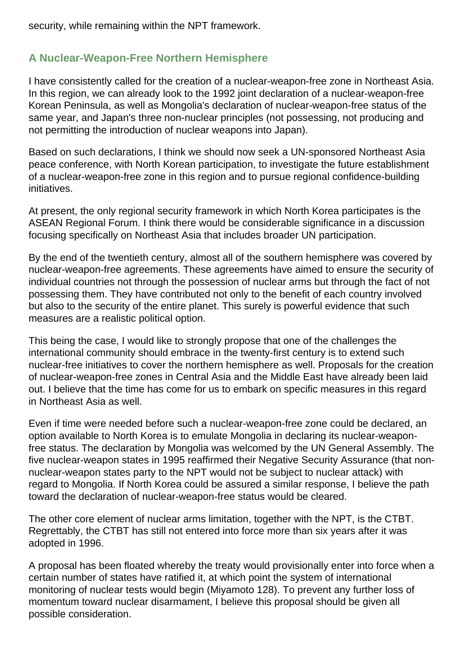security, while remaining within the NPT framework.

### **A Nuclear-Weapon-Free Northern Hemisphere**

I have consistently called for the creation of a nuclear-weapon-free zone in Northeast Asia. In this region, we can already look to the 1992 joint declaration of a nuclear-weapon-free Korean Peninsula, as well as Mongolia's declaration of nuclear-weapon-free status of the same year, and Japan's three non-nuclear principles (not possessing, not producing and not permitting the introduction of nuclear weapons into Japan).

Based on such declarations, I think we should now seek a UN-sponsored Northeast Asia peace conference, with North Korean participation, to investigate the future establishment of a nuclear-weapon-free zone in this region and to pursue regional confidence-building initiatives.

At present, the only regional security framework in which North Korea participates is the ASEAN Regional Forum. I think there would be considerable significance in a discussion focusing specifically on Northeast Asia that includes broader UN participation.

By the end of the twentieth century, almost all of the southern hemisphere was covered by nuclear-weapon-free agreements. These agreements have aimed to ensure the security of individual countries not through the possession of nuclear arms but through the fact of not possessing them. They have contributed not only to the benefit of each country involved but also to the security of the entire planet. This surely is powerful evidence that such measures are a realistic political option.

This being the case, I would like to strongly propose that one of the challenges the international community should embrace in the twenty-first century is to extend such nuclear-free initiatives to cover the northern hemisphere as well. Proposals for the creation of nuclear-weapon-free zones in Central Asia and the Middle East have already been laid out. I believe that the time has come for us to embark on specific measures in this regard in Northeast Asia as well.

Even if time were needed before such a nuclear-weapon-free zone could be declared, an option available to North Korea is to emulate Mongolia in declaring its nuclear-weaponfree status. The declaration by Mongolia was welcomed by the UN General Assembly. The five nuclear-weapon states in 1995 reaffirmed their Negative Security Assurance (that nonnuclear-weapon states party to the NPT would not be subject to nuclear attack) with regard to Mongolia. If North Korea could be assured a similar response, I believe the path toward the declaration of nuclear-weapon-free status would be cleared.

The other core element of nuclear arms limitation, together with the NPT, is the CTBT. Regrettably, the CTBT has still not entered into force more than six years after it was adopted in 1996.

A proposal has been floated whereby the treaty would provisionally enter into force when a certain number of states have ratified it, at which point the system of international monitoring of nuclear tests would begin (Miyamoto 128). To prevent any further loss of momentum toward nuclear disarmament, I believe this proposal should be given all possible consideration.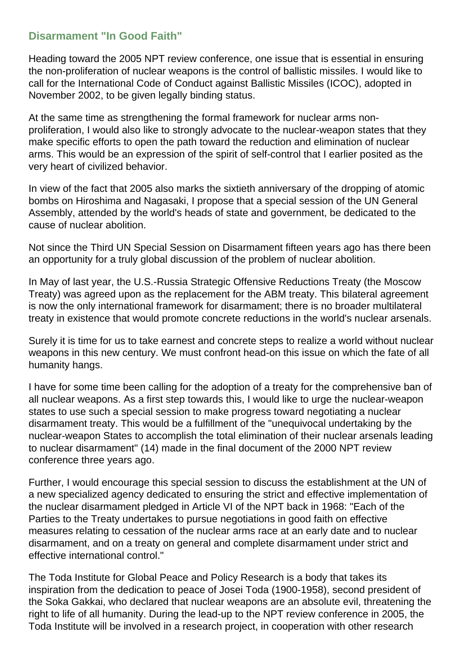#### **Disarmament "In Good Faith"**

Heading toward the 2005 NPT review conference, one issue that is essential in ensuring the non-proliferation of nuclear weapons is the control of ballistic missiles. I would like to call for the International Code of Conduct against Ballistic Missiles (ICOC), adopted in November 2002, to be given legally binding status.

At the same time as strengthening the formal framework for nuclear arms nonproliferation, I would also like to strongly advocate to the nuclear-weapon states that they make specific efforts to open the path toward the reduction and elimination of nuclear arms. This would be an expression of the spirit of self-control that I earlier posited as the very heart of civilized behavior.

In view of the fact that 2005 also marks the sixtieth anniversary of the dropping of atomic bombs on Hiroshima and Nagasaki, I propose that a special session of the UN General Assembly, attended by the world's heads of state and government, be dedicated to the cause of nuclear abolition.

Not since the Third UN Special Session on Disarmament fifteen years ago has there been an opportunity for a truly global discussion of the problem of nuclear abolition.

In May of last year, the U.S.-Russia Strategic Offensive Reductions Treaty (the Moscow Treaty) was agreed upon as the replacement for the ABM treaty. This bilateral agreement is now the only international framework for disarmament; there is no broader multilateral treaty in existence that would promote concrete reductions in the world's nuclear arsenals.

Surely it is time for us to take earnest and concrete steps to realize a world without nuclear weapons in this new century. We must confront head-on this issue on which the fate of all humanity hangs.

I have for some time been calling for the adoption of a treaty for the comprehensive ban of all nuclear weapons. As a first step towards this, I would like to urge the nuclear-weapon states to use such a special session to make progress toward negotiating a nuclear disarmament treaty. This would be a fulfillment of the "unequivocal undertaking by the nuclear-weapon States to accomplish the total elimination of their nuclear arsenals leading to nuclear disarmament" (14) made in the final document of the 2000 NPT review conference three years ago.

Further, I would encourage this special session to discuss the establishment at the UN of a new specialized agency dedicated to ensuring the strict and effective implementation of the nuclear disarmament pledged in Article VI of the NPT back in 1968: "Each of the Parties to the Treaty undertakes to pursue negotiations in good faith on effective measures relating to cessation of the nuclear arms race at an early date and to nuclear disarmament, and on a treaty on general and complete disarmament under strict and effective international control."

The Toda Institute for Global Peace and Policy Research is a body that takes its inspiration from the dedication to peace of Josei Toda (1900-1958), second president of the Soka Gakkai, who declared that nuclear weapons are an absolute evil, threatening the right to life of all humanity. During the lead-up to the NPT review conference in 2005, the Toda Institute will be involved in a research project, in cooperation with other research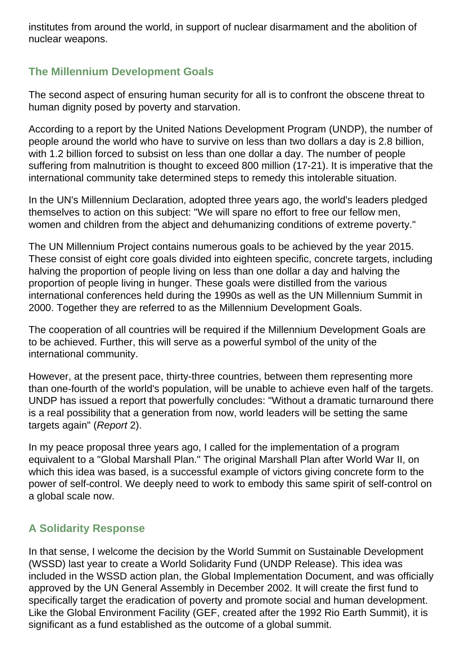institutes from around the world, in support of nuclear disarmament and the abolition of nuclear weapons.

### **The Millennium Development Goals**

The second aspect of ensuring human security for all is to confront the obscene threat to human dignity posed by poverty and starvation.

According to a report by the United Nations Development Program (UNDP), the number of people around the world who have to survive on less than two dollars a day is 2.8 billion, with 1.2 billion forced to subsist on less than one dollar a day. The number of people suffering from malnutrition is thought to exceed 800 million (17-21). It is imperative that the international community take determined steps to remedy this intolerable situation.

In the UN's Millennium Declaration, adopted three years ago, the world's leaders pledged themselves to action on this subject: "We will spare no effort to free our fellow men, women and children from the abject and dehumanizing conditions of extreme poverty."

The UN Millennium Project contains numerous goals to be achieved by the year 2015. These consist of eight core goals divided into eighteen specific, concrete targets, including halving the proportion of people living on less than one dollar a day and halving the proportion of people living in hunger. These goals were distilled from the various international conferences held during the 1990s as well as the UN Millennium Summit in 2000. Together they are referred to as the Millennium Development Goals.

The cooperation of all countries will be required if the Millennium Development Goals are to be achieved. Further, this will serve as a powerful symbol of the unity of the international community.

However, at the present pace, thirty-three countries, between them representing more than one-fourth of the world's population, will be unable to achieve even half of the targets. UNDP has issued a report that powerfully concludes: "Without a dramatic turnaround there is a real possibility that a generation from now, world leaders will be setting the same targets again" (*Report* 2).

In my peace proposal three years ago, I called for the implementation of a program equivalent to a "Global Marshall Plan." The original Marshall Plan after World War II, on which this idea was based, is a successful example of victors giving concrete form to the power of self-control. We deeply need to work to embody this same spirit of self-control on a global scale now.

### **A Solidarity Response**

In that sense, I welcome the decision by the World Summit on Sustainable Development (WSSD) last year to create a World Solidarity Fund (UNDP Release). This idea was included in the WSSD action plan, the Global Implementation Document, and was officially approved by the UN General Assembly in December 2002. It will create the first fund to specifically target the eradication of poverty and promote social and human development. Like the Global Environment Facility (GEF, created after the 1992 Rio Earth Summit), it is significant as a fund established as the outcome of a global summit.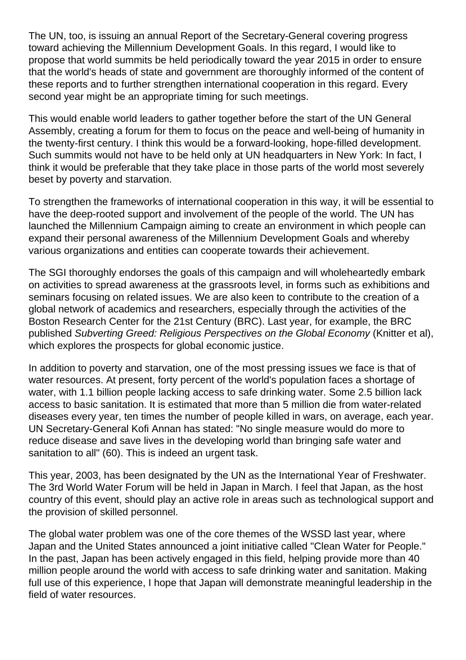The UN, too, is issuing an annual Report of the Secretary-General covering progress toward achieving the Millennium Development Goals. In this regard, I would like to propose that world summits be held periodically toward the year 2015 in order to ensure that the world's heads of state and government are thoroughly informed of the content of these reports and to further strengthen international cooperation in this regard. Every second year might be an appropriate timing for such meetings.

This would enable world leaders to gather together before the start of the UN General Assembly, creating a forum for them to focus on the peace and well-being of humanity in the twenty-first century. I think this would be a forward-looking, hope-filled development. Such summits would not have to be held only at UN headquarters in New York: In fact, I think it would be preferable that they take place in those parts of the world most severely beset by poverty and starvation.

To strengthen the frameworks of international cooperation in this way, it will be essential to have the deep-rooted support and involvement of the people of the world. The UN has launched the Millennium Campaign aiming to create an environment in which people can expand their personal awareness of the Millennium Development Goals and whereby various organizations and entities can cooperate towards their achievement.

The SGI thoroughly endorses the goals of this campaign and will wholeheartedly embark on activities to spread awareness at the grassroots level, in forms such as exhibitions and seminars focusing on related issues. We are also keen to contribute to the creation of a global network of academics and researchers, especially through the activities of the Boston Research Center for the 21st Century (BRC). Last year, for example, the BRC published *Subverting Greed: Religious Perspectives on the Global Economy* (Knitter et al), which explores the prospects for global economic justice.

In addition to poverty and starvation, one of the most pressing issues we face is that of water resources. At present, forty percent of the world's population faces a shortage of water, with 1.1 billion people lacking access to safe drinking water. Some 2.5 billion lack access to basic sanitation. It is estimated that more than 5 million die from water-related diseases every year, ten times the number of people killed in wars, on average, each year. UN Secretary-General Kofi Annan has stated: "No single measure would do more to reduce disease and save lives in the developing world than bringing safe water and sanitation to all" (60). This is indeed an urgent task.

This year, 2003, has been designated by the UN as the International Year of Freshwater. The 3rd World Water Forum will be held in Japan in March. I feel that Japan, as the host country of this event, should play an active role in areas such as technological support and the provision of skilled personnel.

The global water problem was one of the core themes of the WSSD last year, where Japan and the United States announced a joint initiative called "Clean Water for People." In the past, Japan has been actively engaged in this field, helping provide more than 40 million people around the world with access to safe drinking water and sanitation. Making full use of this experience, I hope that Japan will demonstrate meaningful leadership in the field of water resources.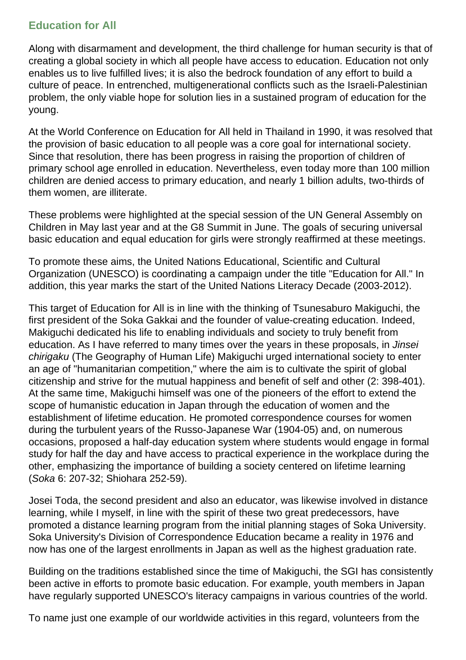#### **Education for All**

Along with disarmament and development, the third challenge for human security is that of creating a global society in which all people have access to education. Education not only enables us to live fulfilled lives; it is also the bedrock foundation of any effort to build a culture of peace. In entrenched, multigenerational conflicts such as the Israeli-Palestinian problem, the only viable hope for solution lies in a sustained program of education for the young.

At the World Conference on Education for All held in Thailand in 1990, it was resolved that the provision of basic education to all people was a core goal for international society. Since that resolution, there has been progress in raising the proportion of children of primary school age enrolled in education. Nevertheless, even today more than 100 million children are denied access to primary education, and nearly 1 billion adults, two-thirds of them women, are illiterate.

These problems were highlighted at the special session of the UN General Assembly on Children in May last year and at the G8 Summit in June. The goals of securing universal basic education and equal education for girls were strongly reaffirmed at these meetings.

To promote these aims, the United Nations Educational, Scientific and Cultural Organization (UNESCO) is coordinating a campaign under the title "Education for All." In addition, this year marks the start of the United Nations Literacy Decade (2003-2012).

This target of Education for All is in line with the thinking of Tsunesaburo Makiguchi, the first president of the Soka Gakkai and the founder of value-creating education. Indeed, Makiguchi dedicated his life to enabling individuals and society to truly benefit from education. As I have referred to many times over the years in these proposals, in *Jinsei chirigaku* (The Geography of Human Life) Makiguchi urged international society to enter an age of "humanitarian competition," where the aim is to cultivate the spirit of global citizenship and strive for the mutual happiness and benefit of self and other (2: 398-401). At the same time, Makiguchi himself was one of the pioneers of the effort to extend the scope of humanistic education in Japan through the education of women and the establishment of lifetime education. He promoted correspondence courses for women during the turbulent years of the Russo-Japanese War (1904-05) and, on numerous occasions, proposed a half-day education system where students would engage in formal study for half the day and have access to practical experience in the workplace during the other, emphasizing the importance of building a society centered on lifetime learning (*Soka* 6: 207-32; Shiohara 252-59).

Josei Toda, the second president and also an educator, was likewise involved in distance learning, while I myself, in line with the spirit of these two great predecessors, have promoted a distance learning program from the initial planning stages of Soka University. Soka University's Division of Correspondence Education became a reality in 1976 and now has one of the largest enrollments in Japan as well as the highest graduation rate.

Building on the traditions established since the time of Makiguchi, the SGI has consistently been active in efforts to promote basic education. For example, youth members in Japan have regularly supported UNESCO's literacy campaigns in various countries of the world.

To name just one example of our worldwide activities in this regard, volunteers from the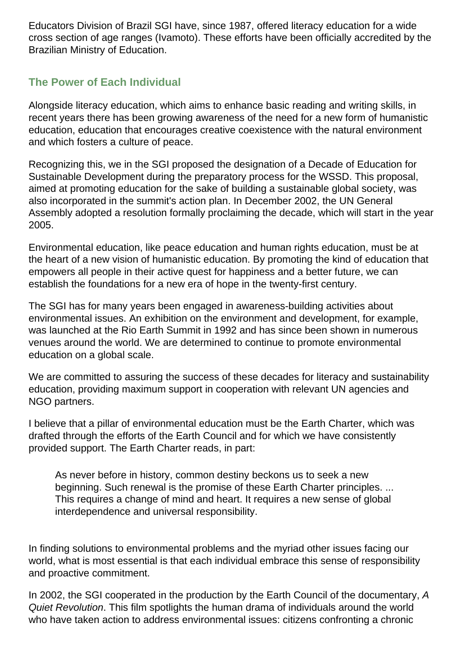Educators Division of Brazil SGI have, since 1987, offered literacy education for a wide cross section of age ranges (Ivamoto). These efforts have been officially accredited by the Brazilian Ministry of Education.

### **The Power of Each Individual**

Alongside literacy education, which aims to enhance basic reading and writing skills, in recent years there has been growing awareness of the need for a new form of humanistic education, education that encourages creative coexistence with the natural environment and which fosters a culture of peace.

Recognizing this, we in the SGI proposed the designation of a Decade of Education for Sustainable Development during the preparatory process for the WSSD. This proposal, aimed at promoting education for the sake of building a sustainable global society, was also incorporated in the summit's action plan. In December 2002, the UN General Assembly adopted a resolution formally proclaiming the decade, which will start in the year 2005.

Environmental education, like peace education and human rights education, must be at the heart of a new vision of humanistic education. By promoting the kind of education that empowers all people in their active quest for happiness and a better future, we can establish the foundations for a new era of hope in the twenty-first century.

The SGI has for many years been engaged in awareness-building activities about environmental issues. An exhibition on the environment and development, for example, was launched at the Rio Earth Summit in 1992 and has since been shown in numerous venues around the world. We are determined to continue to promote environmental education on a global scale.

We are committed to assuring the success of these decades for literacy and sustainability education, providing maximum support in cooperation with relevant UN agencies and NGO partners.

I believe that a pillar of environmental education must be the Earth Charter, which was drafted through the efforts of the Earth Council and for which we have consistently provided support. The Earth Charter reads, in part:

As never before in history, common destiny beckons us to seek a new beginning. Such renewal is the promise of these Earth Charter principles. ... This requires a change of mind and heart. It requires a new sense of global interdependence and universal responsibility.

In finding solutions to environmental problems and the myriad other issues facing our world, what is most essential is that each individual embrace this sense of responsibility and proactive commitment.

In 2002, the SGI cooperated in the production by the Earth Council of the documentary, *A Quiet Revolution*. This film spotlights the human drama of individuals around the world who have taken action to address environmental issues: citizens confronting a chronic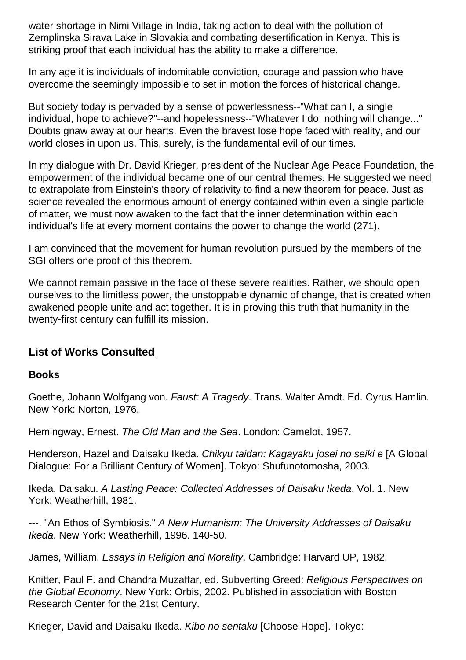water shortage in Nimi Village in India, taking action to deal with the pollution of Zemplinska Sirava Lake in Slovakia and combating desertification in Kenya. This is striking proof that each individual has the ability to make a difference.

In any age it is individuals of indomitable conviction, courage and passion who have overcome the seemingly impossible to set in motion the forces of historical change.

But society today is pervaded by a sense of powerlessness--"What can I, a single individual, hope to achieve?"--and hopelessness--"Whatever I do, nothing will change..." Doubts gnaw away at our hearts. Even the bravest lose hope faced with reality, and our world closes in upon us. This, surely, is the fundamental evil of our times.

In my dialogue with Dr. David Krieger, president of the Nuclear Age Peace Foundation, the empowerment of the individual became one of our central themes. He suggested we need to extrapolate from Einstein's theory of relativity to find a new theorem for peace. Just as science revealed the enormous amount of energy contained within even a single particle of matter, we must now awaken to the fact that the inner determination within each individual's life at every moment contains the power to change the world (271).

I am convinced that the movement for human revolution pursued by the members of the SGI offers one proof of this theorem.

We cannot remain passive in the face of these severe realities. Rather, we should open ourselves to the limitless power, the unstoppable dynamic of change, that is created when awakened people unite and act together. It is in proving this truth that humanity in the twenty-first century can fulfill its mission.

#### **List of Works Consulted**

#### **Books**

Goethe, Johann Wolfgang von. *Faust: A Tragedy*. Trans. Walter Arndt. Ed. Cyrus Hamlin. New York: Norton, 1976.

Hemingway, Ernest. *The Old Man and the Sea*. London: Camelot, 1957.

Henderson, Hazel and Daisaku Ikeda. *Chikyu taidan: Kagayaku josei no seiki e* [A Global Dialogue: For a Brilliant Century of Women]. Tokyo: Shufunotomosha, 2003.

Ikeda, Daisaku. *A Lasting Peace: Collected Addresses of Daisaku Ikeda*. Vol. 1. New York: Weatherhill, 1981.

---. "An Ethos of Symbiosis." *A New Humanism: The University Addresses of Daisaku Ikeda*. New York: Weatherhill, 1996. 140-50.

James, William. *Essays in Religion and Morality*. Cambridge: Harvard UP, 1982.

Knitter, Paul F. and Chandra Muzaffar, ed. Subverting Greed: *Religious Perspectives on the Global Economy*. New York: Orbis, 2002. Published in association with Boston Research Center for the 21st Century.

Krieger, David and Daisaku Ikeda. *Kibo no sentaku* [Choose Hope]. Tokyo: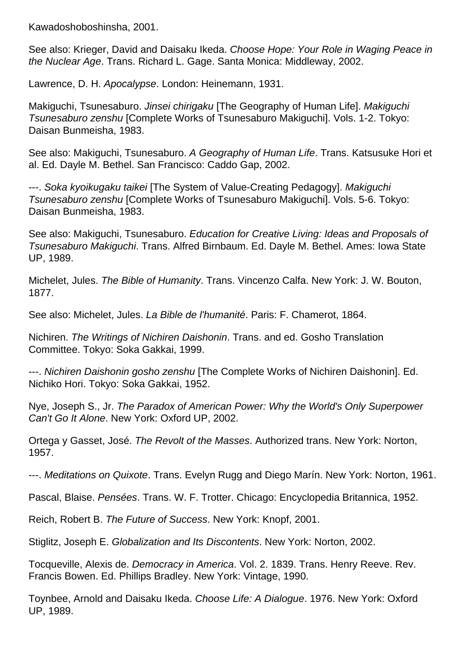Kawadoshoboshinsha, 2001.

See also: Krieger, David and Daisaku Ikeda. *Choose Hope: Your Role in Waging Peace in the Nuclear Age*. Trans. Richard L. Gage. Santa Monica: Middleway, 2002.

Lawrence, D. H. *Apocalypse*. London: Heinemann, 1931.

Makiguchi, Tsunesaburo. *Jinsei chirigaku* [The Geography of Human Life]. *Makiguchi Tsunesaburo zenshu* [Complete Works of Tsunesaburo Makiguchi]. Vols. 1-2. Tokyo: Daisan Bunmeisha, 1983.

See also: Makiguchi, Tsunesaburo. *A Geography of Human Life*. Trans. Katsusuke Hori et al. Ed. Dayle M. Bethel. San Francisco: Caddo Gap, 2002.

---. *Soka kyoikugaku taikei* [The System of Value-Creating Pedagogy]. *Makiguchi Tsunesaburo zenshu* [Complete Works of Tsunesaburo Makiguchi]. Vols. 5-6. Tokyo: Daisan Bunmeisha, 1983.

See also: Makiguchi, Tsunesaburo. *Education for Creative Living: Ideas and Proposals of Tsunesaburo Makiguchi*. Trans. Alfred Birnbaum. Ed. Dayle M. Bethel. Ames: Iowa State UP, 1989.

Michelet, Jules. *The Bible of Humanity*. Trans. Vincenzo Calfa. New York: J. W. Bouton, 1877.

See also: Michelet, Jules. *La Bible de l'humanité*. Paris: F. Chamerot, 1864.

Nichiren. *The Writings of Nichiren Daishonin*. Trans. and ed. Gosho Translation Committee. Tokyo: Soka Gakkai, 1999.

---. *Nichiren Daishonin gosho zenshu* [The Complete Works of Nichiren Daishonin]. Ed. Nichiko Hori. Tokyo: Soka Gakkai, 1952.

Nye, Joseph S., Jr. *The Paradox of American Power: Why the World's Only Superpower Can't Go It Alone*. New York: Oxford UP, 2002.

Ortega y Gasset, José. *The Revolt of the Masses*. Authorized trans. New York: Norton, 1957.

---. *Meditations on Quixote*. Trans. Evelyn Rugg and Diego Marín. New York: Norton, 1961.

Pascal, Blaise. *Pensées*. Trans. W. F. Trotter. Chicago: Encyclopedia Britannica, 1952.

Reich, Robert B. *The Future of Success*. New York: Knopf, 2001.

Stiglitz, Joseph E. *Globalization and Its Discontents*. New York: Norton, 2002.

Tocqueville, Alexis de. *Democracy in America*. Vol. 2. 1839. Trans. Henry Reeve. Rev. Francis Bowen. Ed. Phillips Bradley. New York: Vintage, 1990.

Toynbee, Arnold and Daisaku Ikeda. *Choose Life: A Dialogue*. 1976. New York: Oxford UP, 1989.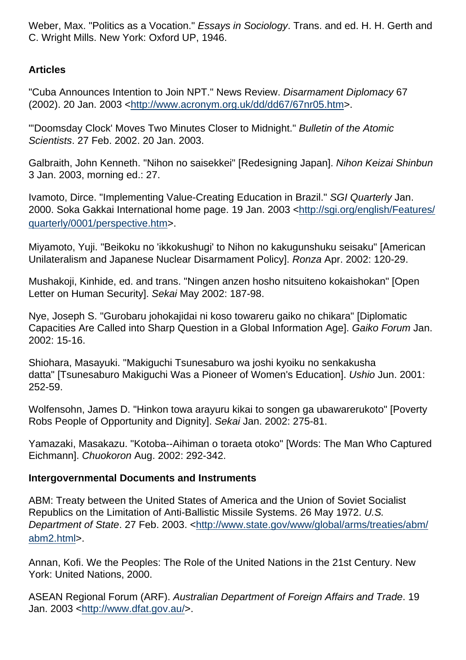Weber, Max. "Politics as a Vocation." *Essays in Sociology*. Trans. and ed. H. H. Gerth and C. Wright Mills. New York: Oxford UP, 1946.

### **Articles**

"Cuba Announces Intention to Join NPT." News Review. *Disarmament Diplomacy* 67 (2002). 20 Jan. 2003 <<http://www.acronym.org.uk/dd/dd67/67nr05.htm>>.

"'Doomsday Clock' Moves Two Minutes Closer to Midnight." *Bulletin of the Atomic Scientists*. 27 Feb. 2002. 20 Jan. 2003.

Galbraith, John Kenneth. "Nihon no saisekkei" [Redesigning Japan]. *Nihon Keizai Shinbun* 3 Jan. 2003, morning ed.: 27.

Ivamoto, Dirce. "Implementing Value-Creating Education in Brazil." *SGI Quarterly* Jan. 2000. Soka Gakkai International home page. 19 Jan. 2003 <[http://sgi.org/english/Features/](file:///F:/www/sgi/english/Features/quarterly/0001/perspective.htm) [quarterly/0001/perspective.htm>](file:///F:/www/sgi/english/Features/quarterly/0001/perspective.htm).

Miyamoto, Yuji. "Beikoku no 'ikkokushugi' to Nihon no kakugunshuku seisaku" [American Unilateralism and Japanese Nuclear Disarmament Policy]. *Ronza* Apr. 2002: 120-29.

Mushakoji, Kinhide, ed. and trans. "Ningen anzen hosho nitsuiteno kokaishokan" [Open Letter on Human Security]. *Sekai* May 2002: 187-98.

Nye, Joseph S. "Gurobaru johokajidai ni koso towareru gaiko no chikara" [Diplomatic Capacities Are Called into Sharp Question in a Global Information Age]. *Gaiko Forum* Jan. 2002: 15-16.

Shiohara, Masayuki. "Makiguchi Tsunesaburo wa joshi kyoiku no senkakusha datta" [Tsunesaburo Makiguchi Was a Pioneer of Women's Education]. *Ushio* Jun. 2001: 252-59.

Wolfensohn, James D. "Hinkon towa arayuru kikai to songen ga ubawarerukoto" [Poverty Robs People of Opportunity and Dignity]. *Sekai* Jan. 2002: 275-81.

Yamazaki, Masakazu. "Kotoba--Aihiman o toraeta otoko" [Words: The Man Who Captured Eichmann]. *Chuokoron* Aug. 2002: 292-342.

#### **Intergovernmental Documents and Instruments**

ABM: Treaty between the United States of America and the Union of Soviet Socialist Republics on the Limitation of Anti-Ballistic Missile Systems. 26 May 1972. *U.S. Department of State*. 27 Feb. 2003. [<http://www.state.gov/www/global/arms/treaties/abm/](http://www.state.gov/www/global/arms/treaties/abm/abm2.html) [abm2.html>](http://www.state.gov/www/global/arms/treaties/abm/abm2.html).

Annan, Kofi. We the Peoples: The Role of the United Nations in the 21st Century. New York: United Nations, 2000.

ASEAN Regional Forum (ARF). *Australian Department of Foreign Affairs and Trade*. 19 Jan. 2003 [<http://www.dfat.gov.au/>](http://www.dfat.gov.au/).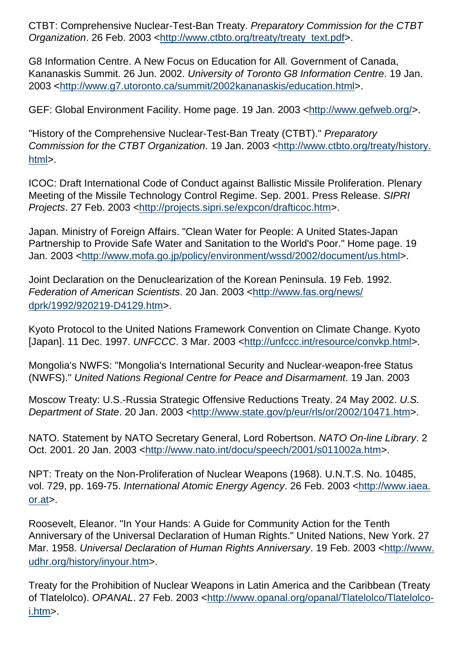CTBT: Comprehensive Nuclear-Test-Ban Treaty. *Preparatory Commission for the CTBT Organization*. 26 Feb. 2003 [<http://www.ctbto.org/treaty/treaty\\_text.pdf>](http://www.ctbto.org/treaty/treaty_text.pdf).

G8 Information Centre. A New Focus on Education for All. Government of Canada, Kananaskis Summit. 26 Jun. 2002. *University of Toronto G8 Information Centre*. 19 Jan. 2003 [<http://www.g7.utoronto.ca/summit/2002kananaskis/education.html>](http://www.g7.utoronto.ca/summit/2002kananaskis/education.html).

GEF: Global Environment Facility. Home page. 19 Jan. 2003 <<http://www.gefweb.org/>>.

"History of the Comprehensive Nuclear-Test-Ban Treaty (CTBT)." *Preparatory Commission for the CTBT Organization*. 19 Jan. 2003 [<http://www.ctbto.org/treaty/history.](http://www.ctbto.org/treaty/history.html) [html>](http://www.ctbto.org/treaty/history.html).

ICOC: Draft International Code of Conduct against Ballistic Missile Proliferation. Plenary Meeting of the Missile Technology Control Regime. Sep. 2001. Press Release. *SIPRI Projects*. 27 Feb. 2003 <[http://projects.sipri.se/expcon/drafticoc.htm>](http://projects.sipri.se/expcon/drafticoc.htm).

Japan. Ministry of Foreign Affairs. "Clean Water for People: A United States-Japan Partnership to Provide Safe Water and Sanitation to the World's Poor." Home page. 19 Jan. 2003 [<http://www.mofa.go.jp/policy/environment/wssd/2002/document/us.html>](http://www.mofa.go.jp/policy/environment/wssd/2002/document/us.html).

Joint Declaration on the Denuclearization of the Korean Peninsula. 19 Feb. 1992. *Federation of American Scientists*. 20 Jan. 2003 <[http://www.fas.org/news/](http://www.fas.org/news/dprk/1992/920219-D4129.htm) [dprk/1992/920219-D4129.htm](http://www.fas.org/news/dprk/1992/920219-D4129.htm)>.

Kyoto Protocol to the United Nations Framework Convention on Climate Change. Kyoto [Japan]. 11 Dec. 1997. *UNFCCC*. 3 Mar. 2003 <<http://unfccc.int/resource/convkp.html>>.

Mongolia's NWFS: "Mongolia's International Security and Nuclear-weapon-free Status (NWFS)." *United Nations Regional Centre for Peace and Disarmament*. 19 Jan. 2003

Moscow Treaty: U.S.-Russia Strategic Offensive Reductions Treaty. 24 May 2002. *U.S. Department of State*. 20 Jan. 2003 [<http://www.state.gov/p/eur/rls/or/2002/10471.htm>](http://www.state.gov/p/eur/rls/or/2002/10471.htm).

NATO. Statement by NATO Secretary General, Lord Robertson. *NATO On-line Library*. 2 Oct. 2001. 20 Jan. 2003 <[http://www.nato.int/docu/speech/2001/s011002a.htm>](http://www.nato.int/docu/speech/2001/s011002a.htm).

NPT: Treaty on the Non-Proliferation of Nuclear Weapons (1968). U.N.T.S. No. 10485, vol. 729, pp. 169-75. *International Atomic Energy Agency*. 26 Feb. 2003 <[http://www.iaea.](http://www.iaea.or.at/) [or.at](http://www.iaea.or.at/)>.

Roosevelt, Eleanor. "In Your Hands: A Guide for Community Action for the Tenth Anniversary of the Universal Declaration of Human Rights." United Nations, New York. 27 Mar. 1958. *Universal Declaration of Human Rights Anniversary*. 19 Feb. 2003 <[http://www.](http://www.udhr.org/history/inyour.htm) [udhr.org/history/inyour.htm](http://www.udhr.org/history/inyour.htm)>.

Treaty for the Prohibition of Nuclear Weapons in Latin America and the Caribbean (Treaty of Tlatelolco). *OPANAL*. 27 Feb. 2003 <[http://www.opanal.org/opanal/Tlatelolco/Tlatelolco](http://www.opanal.org/opanal/Tlatelolco/Tlatelolco-i.htm)[i.htm>](http://www.opanal.org/opanal/Tlatelolco/Tlatelolco-i.htm).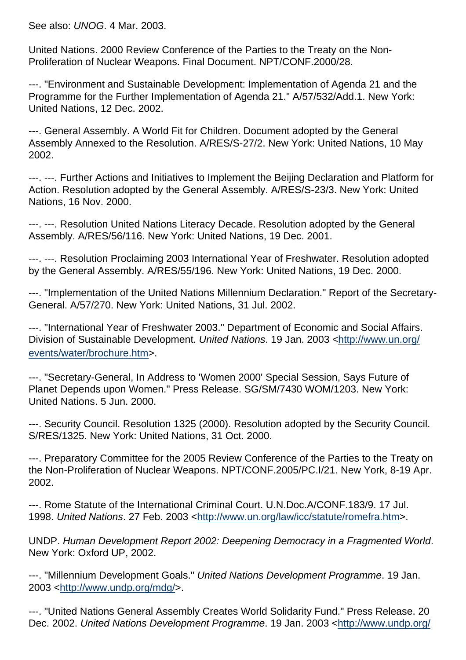See also: *UNOG*. 4 Mar. 2003.

United Nations. 2000 Review Conference of the Parties to the Treaty on the Non-Proliferation of Nuclear Weapons. Final Document. NPT/CONF.2000/28.

---. "Environment and Sustainable Development: Implementation of Agenda 21 and the Programme for the Further Implementation of Agenda 21." A/57/532/Add.1. New York: United Nations, 12 Dec. 2002.

---. General Assembly. A World Fit for Children. Document adopted by the General Assembly Annexed to the Resolution. A/RES/S-27/2. New York: United Nations, 10 May 2002.

---. ---. Further Actions and Initiatives to Implement the Beijing Declaration and Platform for Action. Resolution adopted by the General Assembly. A/RES/S-23/3. New York: United Nations, 16 Nov. 2000.

---. ---. Resolution United Nations Literacy Decade. Resolution adopted by the General Assembly. A/RES/56/116. New York: United Nations, 19 Dec. 2001.

---. ---. Resolution Proclaiming 2003 International Year of Freshwater. Resolution adopted by the General Assembly. A/RES/55/196. New York: United Nations, 19 Dec. 2000.

---. "Implementation of the United Nations Millennium Declaration." Report of the Secretary-General. A/57/270. New York: United Nations, 31 Jul. 2002.

---. "International Year of Freshwater 2003." Department of Economic and Social Affairs. Division of Sustainable Development. *United Nations*. 19 Jan. 2003 <[http://www.un.org/](http://www.un.org/events/water/brochure.htm) [events/water/brochure.htm](http://www.un.org/events/water/brochure.htm)>.

---. "Secretary-General, In Address to 'Women 2000' Special Session, Says Future of Planet Depends upon Women." Press Release. SG/SM/7430 WOM/1203. New York: United Nations. 5 Jun. 2000.

---. Security Council. Resolution 1325 (2000). Resolution adopted by the Security Council. S/RES/1325. New York: United Nations, 31 Oct. 2000.

---. Preparatory Committee for the 2005 Review Conference of the Parties to the Treaty on the Non-Proliferation of Nuclear Weapons. NPT/CONF.2005/PC.I/21. New York, 8-19 Apr. 2002.

---. Rome Statute of the International Criminal Court. U.N.Doc.A/CONF.183/9. 17 Jul. 1998. *United Nations*. 27 Feb. 2003 <<http://www.un.org/law/icc/statute/romefra.htm>>.

UNDP. *Human Development Report 2002: Deepening Democracy in a Fragmented World*. New York: Oxford UP, 2002.

---. "Millennium Development Goals." *United Nations Development Programme*. 19 Jan. 2003 [<http://www.undp.org/mdg/>](http://www.undp.org/mdg/).

---. "United Nations General Assembly Creates World Solidarity Fund." Press Release. 20 Dec. 2002. *United Nations Development Programme*. 19 Jan. 2003 [<http://www.undp.org/](http://www.undp.org/)